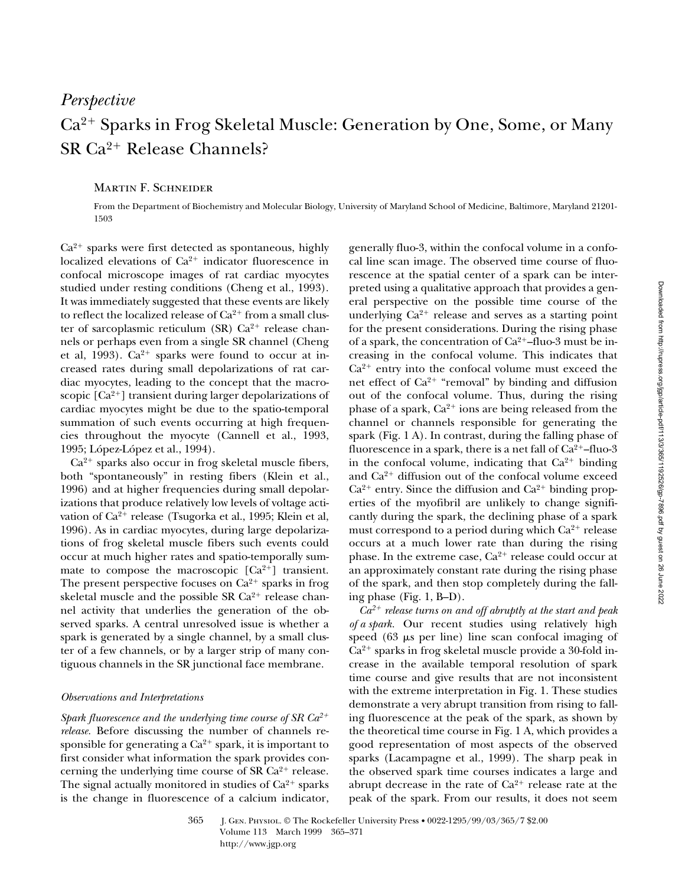## *Perspective*

# Ca<sup>2+</sup> Sparks in Frog Skeletal Muscle: Generation by One, Some, or Many  $SR Ca<sup>2+</sup> Release Channels?$

### MARTIN F. SCHNEIDER

From the Department of Biochemistry and Molecular Biology, University of Maryland School of Medicine, Baltimore, Maryland 21201- 1503

 $Ca<sup>2+</sup>$  sparks were first detected as spontaneous, highly localized elevations of  $Ca^{2+}$  indicator fluorescence in confocal microscope images of rat cardiac myocytes studied under resting conditions (Cheng et al., 1993). It was immediately suggested that these events are likely to reflect the localized release of  $Ca^{2+}$  from a small cluster of sarcoplasmic reticulum (SR)  $Ca^{2+}$  release channels or perhaps even from a single SR channel (Cheng et al, 1993).  $Ca^{2+}$  sparks were found to occur at increased rates during small depolarizations of rat cardiac myocytes, leading to the concept that the macroscopic  $[Ca^{2+}]$  transient during larger depolarizations of cardiac myocytes might be due to the spatio-temporal summation of such events occurring at high frequencies throughout the myocyte (Cannell et al., 1993, 1995; López-López et al., 1994).

 $Ca<sup>2+</sup>$  sparks also occur in frog skeletal muscle fibers, both "spontaneously" in resting fibers (Klein et al., 1996) and at higher frequencies during small depolarizations that produce relatively low levels of voltage activation of  $Ca^{2+}$  release (Tsugorka et al., 1995; Klein et al, 1996). As in cardiac myocytes, during large depolarizations of frog skeletal muscle fibers such events could occur at much higher rates and spatio-temporally summate to compose the macroscopic  $[Ca^{2+}]$  transient. The present perspective focuses on  $Ca^{2+}$  sparks in frog skeletal muscle and the possible SR  $Ca^{2+}$  release channel activity that underlies the generation of the observed sparks. A central unresolved issue is whether a spark is generated by a single channel, by a small cluster of a few channels, or by a larger strip of many contiguous channels in the SR junctional face membrane.

#### *Observations and Interpretations*

*Spark fluorescence and the underlying time course of SR Ca*<sup>2+</sup> *release.* Before discussing the number of channels responsible for generating a  $Ca^{2+}$  spark, it is important to first consider what information the spark provides concerning the underlying time course of SR  $Ca^{2+}$  release. The signal actually monitored in studies of  $Ca<sup>2+</sup>$  sparks is the change in fluorescence of a calcium indicator,

generally fluo-3, within the confocal volume in a confocal line scan image. The observed time course of fluorescence at the spatial center of a spark can be interpreted using a qualitative approach that provides a general perspective on the possible time course of the underlying  $Ca^{2+}$  release and serves as a starting point for the present considerations. During the rising phase of a spark, the concentration of  $Ca^{2+}$ –fluo-3 must be increasing in the confocal volume. This indicates that  $Ca^{2+}$  entry into the confocal volume must exceed the net effect of  $Ca^{2+}$  "removal" by binding and diffusion out of the confocal volume. Thus, during the rising phase of a spark,  $Ca^{2+}$  ions are being released from the channel or channels responsible for generating the spark (Fig. 1 A). In contrast, during the falling phase of fluorescence in a spark, there is a net fall of  $Ca^{2+}-fluo-3$ in the confocal volume, indicating that  $Ca^{2+}$  binding and  $Ca^{2+}$  diffusion out of the confocal volume exceed  $Ca^{2+}$  entry. Since the diffusion and  $Ca^{2+}$  binding properties of the myofibril are unlikely to change significantly during the spark, the declining phase of a spark must correspond to a period during which  $Ca^{2+}$  release occurs at a much lower rate than during the rising phase. In the extreme case,  $Ca^{2+}$  release could occur at an approximately constant rate during the rising phase of the spark, and then stop completely during the falling phase (Fig. 1, B–D).

 $Ca^{2+}$  *release turns on and off abruptly at the start and peak of a spark.* Our recent studies using relatively high speed  $(63 \mu s)$  per line) line scan confocal imaging of  $Ca<sup>2+</sup>$  sparks in frog skeletal muscle provide a 30-fold increase in the available temporal resolution of spark time course and give results that are not inconsistent with the extreme interpretation in Fig. 1. These studies demonstrate a very abrupt transition from rising to falling fluorescence at the peak of the spark, as shown by the theoretical time course in Fig. 1 A, which provides a good representation of most aspects of the observed sparks (Lacampagne et al., 1999). The sharp peak in the observed spark time courses indicates a large and abrupt decrease in the rate of  $Ca^{2+}$  release rate at the peak of the spark. From our results, it does not seem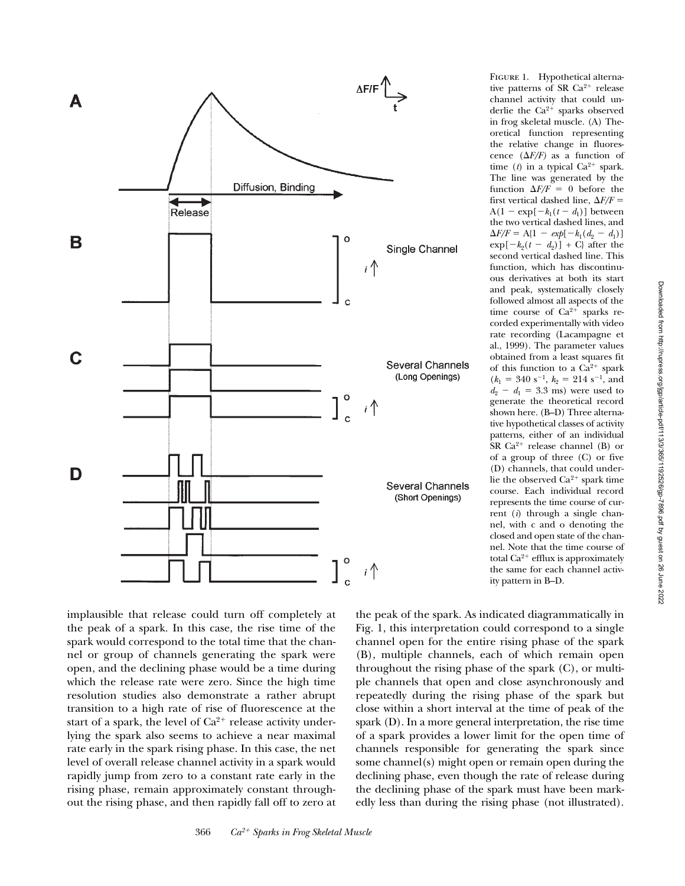

FIGURE 1. Hypothetical alternative patterns of SR  $Ca^{2+}$  release channel activity that could underlie the  $Ca^{2+}$  sparks observed in frog skeletal muscle. (A) Theoretical function representing the relative change in fluorescence  $(\Delta F/F)$  as a function of time  $(t)$  in a typical  $Ca^{2+}$  spark. The line was generated by the function  $\Delta F/F = 0$  before the first vertical dashed line,  $\Delta F/F =$  $A(1 - \exp[-k_1(t - d_1)]$  between the two vertical dashed lines, and  $\Delta F/F = A\{1 - exp[-k_1(d_2 - d_1)]\}$  $\exp[-k_2(t - d_2)] + C$ } after the second vertical dashed line. This function, which has discontinuous derivatives at both its start and peak, systematically closely followed almost all aspects of the time course of  $Ca^{2+}$  sparks recorded experimentally with video rate recording (Lacampagne et al., 1999). The parameter values obtained from a least squares fit of this function to a  $Ca^{2+}$  spark  $(k_1 = 340 \text{ s}^{-1}, k_2 = 214 \text{ s}^{-1}, \text{ and}$  $d_2 - d_1 = 3.3$  ms) were used to generate the theoretical record shown here. (B–D) Three alternative hypothetical classes of activity patterns, either of an individual SR  $Ca^{2+}$  release channel (B) or of a group of three (C) or five (D) channels, that could underlie the observed  $Ca^{2+}$  spark time course. Each individual record represents the time course of current (*i*) through a single channel, with c and o denoting the closed and open state of the channel. Note that the time course of total  $Ca^{2+}$  efflux is approximately the same for each channel activity pattern in B–D.

implausible that release could turn off completely at the peak of a spark. In this case, the rise time of the spark would correspond to the total time that the channel or group of channels generating the spark were open, and the declining phase would be a time during which the release rate were zero. Since the high time resolution studies also demonstrate a rather abrupt transition to a high rate of rise of fluorescence at the start of a spark, the level of  $Ca^{2+}$  release activity underlying the spark also seems to achieve a near maximal rate early in the spark rising phase. In this case, the net level of overall release channel activity in a spark would rapidly jump from zero to a constant rate early in the rising phase, remain approximately constant throughout the rising phase, and then rapidly fall off to zero at

the peak of the spark. As indicated diagrammatically in Fig. 1, this interpretation could correspond to a single channel open for the entire rising phase of the spark (B), multiple channels, each of which remain open throughout the rising phase of the spark (C), or multiple channels that open and close asynchronously and repeatedly during the rising phase of the spark but close within a short interval at the time of peak of the spark (D). In a more general interpretation, the rise time of a spark provides a lower limit for the open time of channels responsible for generating the spark since some channel(s) might open or remain open during the declining phase, even though the rate of release during the declining phase of the spark must have been markedly less than during the rising phase (not illustrated).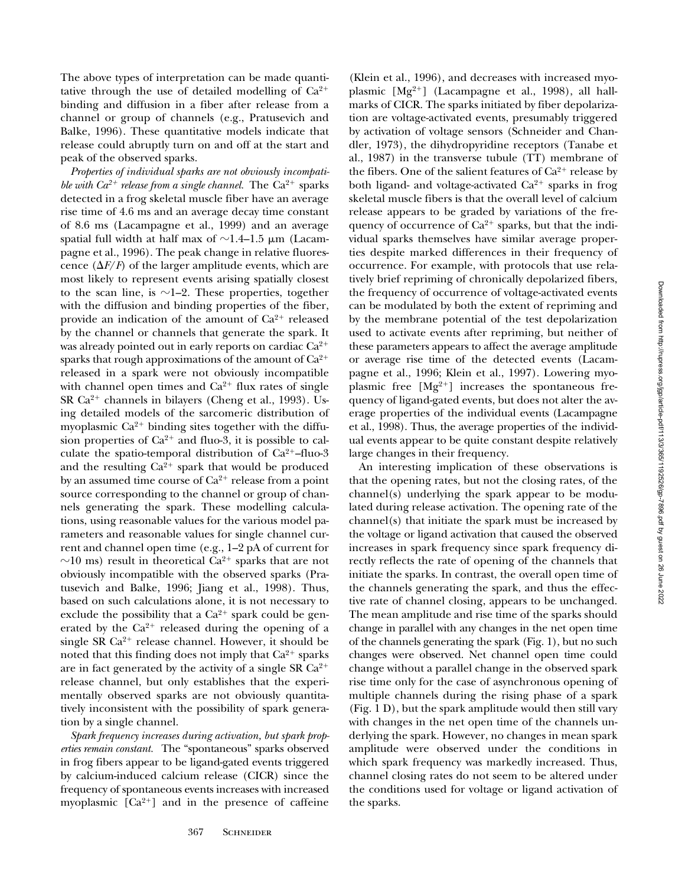The above types of interpretation can be made quantitative through the use of detailed modelling of  $Ca^{2+}$ binding and diffusion in a fiber after release from a channel or group of channels (e.g., Pratusevich and Balke, 1996). These quantitative models indicate that release could abruptly turn on and off at the start and peak of the observed sparks.

*Properties of individual sparks are not obviously incompatible with*  $Ca^{2+}$  *release from a single channel.* The  $Ca^{2+}$  sparks detected in a frog skeletal muscle fiber have an average rise time of 4.6 ms and an average decay time constant of 8.6 ms (Lacampagne et al., 1999) and an average spatial full width at half max of  $\sim$ 1.4–1.5 µm (Lacampagne et al., 1996). The peak change in relative fluorescence  $(\Delta F/F)$  of the larger amplitude events, which are most likely to represent events arising spatially closest to the scan line, is  $\sim$ 1–2. These properties, together with the diffusion and binding properties of the fiber, provide an indication of the amount of  $Ca^{2+}$  released by the channel or channels that generate the spark. It was already pointed out in early reports on cardiac  $Ca^{2+}$ sparks that rough approximations of the amount of  $Ca^{2+}$ released in a spark were not obviously incompatible with channel open times and  $Ca^{2+}$  flux rates of single SR  $Ca^{2+}$  channels in bilayers (Cheng et al., 1993). Using detailed models of the sarcomeric distribution of myoplasmic  $Ca^{2+}$  binding sites together with the diffusion properties of  $Ca^{2+}$  and fluo-3, it is possible to calculate the spatio-temporal distribution of  $Ca^{2+}-fluo-3$ and the resulting  $Ca^{2+}$  spark that would be produced by an assumed time course of  $Ca^{2+}$  release from a point source corresponding to the channel or group of channels generating the spark. These modelling calculations, using reasonable values for the various model parameters and reasonable values for single channel current and channel open time (e.g., 1–2 pA of current for  $\sim$ 10 ms) result in theoretical Ca<sup>2+</sup> sparks that are not obviously incompatible with the observed sparks (Pratusevich and Balke, 1996; Jiang et al., 1998). Thus, based on such calculations alone, it is not necessary to exclude the possibility that a  $Ca^{2+}$  spark could be generated by the  $Ca^{2+}$  released during the opening of a single SR  $Ca^{2+}$  release channel. However, it should be noted that this finding does not imply that  $Ca^{2+}$  sparks are in fact generated by the activity of a single SR  $Ca^{2+}$ release channel, but only establishes that the experimentally observed sparks are not obviously quantitatively inconsistent with the possibility of spark generation by a single channel.

*Spark frequency increases during activation, but spark properties remain constant.* The "spontaneous" sparks observed in frog fibers appear to be ligand-gated events triggered by calcium-induced calcium release (CICR) since the frequency of spontaneous events increases with increased myoplasmic  $[Ca^{2+}]$  and in the presence of caffeine

(Klein et al., 1996), and decreases with increased myoplasmic  $[Mg^{2+}]$  (Lacampagne et al., 1998), all hallmarks of CICR. The sparks initiated by fiber depolarization are voltage-activated events, presumably triggered by activation of voltage sensors (Schneider and Chandler, 1973), the dihydropyridine receptors (Tanabe et al., 1987) in the transverse tubule (TT) membrane of the fibers. One of the salient features of  $Ca^{2+}$  release by both ligand- and voltage-activated  $Ca^{2+}$  sparks in frog skeletal muscle fibers is that the overall level of calcium release appears to be graded by variations of the frequency of occurrence of  $Ca^{2+}$  sparks, but that the individual sparks themselves have similar average properties despite marked differences in their frequency of occurrence. For example, with protocols that use relatively brief repriming of chronically depolarized fibers, the frequency of occurrence of voltage-activated events can be modulated by both the extent of repriming and by the membrane potential of the test depolarization used to activate events after repriming, but neither of these parameters appears to affect the average amplitude or average rise time of the detected events (Lacampagne et al., 1996; Klein et al., 1997). Lowering myoplasmic free  $[Mg^{2+}]$  increases the spontaneous frequency of ligand-gated events, but does not alter the average properties of the individual events (Lacampagne et al., 1998). Thus, the average properties of the individual events appear to be quite constant despite relatively large changes in their frequency.

An interesting implication of these observations is that the opening rates, but not the closing rates, of the channel(s) underlying the spark appear to be modulated during release activation. The opening rate of the channel(s) that initiate the spark must be increased by the voltage or ligand activation that caused the observed increases in spark frequency since spark frequency directly reflects the rate of opening of the channels that initiate the sparks. In contrast, the overall open time of the channels generating the spark, and thus the effective rate of channel closing, appears to be unchanged. The mean amplitude and rise time of the sparks should change in parallel with any changes in the net open time of the channels generating the spark (Fig. 1), but no such changes were observed. Net channel open time could change without a parallel change in the observed spark rise time only for the case of asynchronous opening of multiple channels during the rising phase of a spark (Fig. 1 D), but the spark amplitude would then still vary with changes in the net open time of the channels underlying the spark. However, no changes in mean spark amplitude were observed under the conditions in which spark frequency was markedly increased. Thus, channel closing rates do not seem to be altered under the conditions used for voltage or ligand activation of the sparks.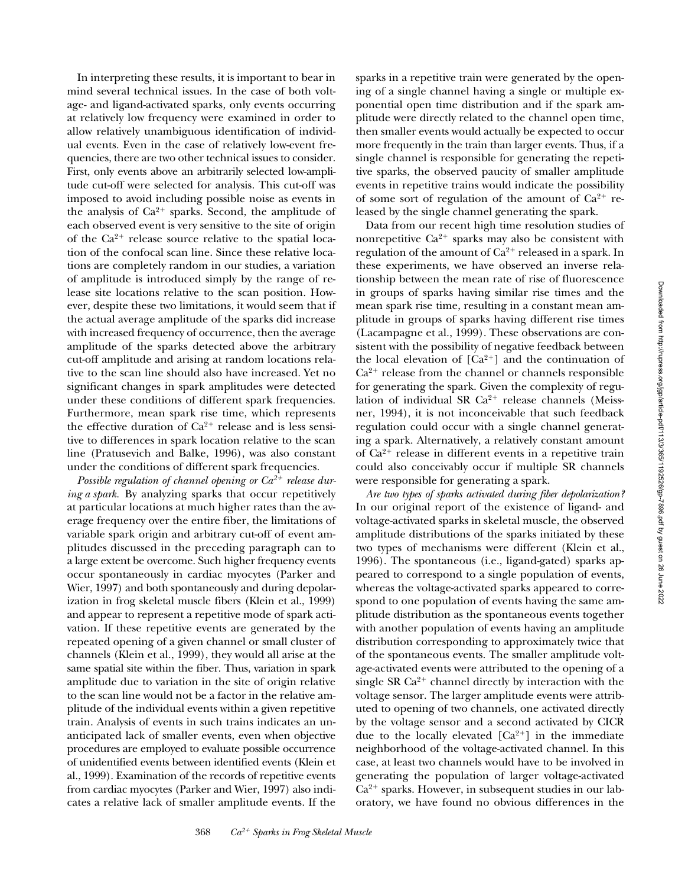In interpreting these results, it is important to bear in mind several technical issues. In the case of both voltage- and ligand-activated sparks, only events occurring at relatively low frequency were examined in order to allow relatively unambiguous identification of individual events. Even in the case of relatively low-event frequencies, there are two other technical issues to consider. First, only events above an arbitrarily selected low-amplitude cut-off were selected for analysis. This cut-off was imposed to avoid including possible noise as events in the analysis of  $Ca^{2+}$  sparks. Second, the amplitude of each observed event is very sensitive to the site of origin of the  $Ca^{2+}$  release source relative to the spatial location of the confocal scan line. Since these relative locations are completely random in our studies, a variation of amplitude is introduced simply by the range of release site locations relative to the scan position. However, despite these two limitations, it would seem that if the actual average amplitude of the sparks did increase with increased frequency of occurrence, then the average amplitude of the sparks detected above the arbitrary cut-off amplitude and arising at random locations relative to the scan line should also have increased. Yet no significant changes in spark amplitudes were detected under these conditions of different spark frequencies. Furthermore, mean spark rise time, which represents the effective duration of  $Ca^{2+}$  release and is less sensitive to differences in spark location relative to the scan line (Pratusevich and Balke, 1996), was also constant under the conditions of different spark frequencies.

*Possible regulation of channel opening or*  $Ca^{2+}$  *release during a spark.* By analyzing sparks that occur repetitively at particular locations at much higher rates than the average frequency over the entire fiber, the limitations of variable spark origin and arbitrary cut-off of event amplitudes discussed in the preceding paragraph can to a large extent be overcome. Such higher frequency events occur spontaneously in cardiac myocytes (Parker and Wier, 1997) and both spontaneously and during depolarization in frog skeletal muscle fibers (Klein et al., 1999) and appear to represent a repetitive mode of spark activation. If these repetitive events are generated by the repeated opening of a given channel or small cluster of channels (Klein et al., 1999), they would all arise at the same spatial site within the fiber. Thus, variation in spark amplitude due to variation in the site of origin relative to the scan line would not be a factor in the relative amplitude of the individual events within a given repetitive train. Analysis of events in such trains indicates an unanticipated lack of smaller events, even when objective procedures are employed to evaluate possible occurrence of unidentified events between identified events (Klein et al., 1999). Examination of the records of repetitive events from cardiac myocytes (Parker and Wier, 1997) also indicates a relative lack of smaller amplitude events. If the

sparks in a repetitive train were generated by the opening of a single channel having a single or multiple exponential open time distribution and if the spark amplitude were directly related to the channel open time, then smaller events would actually be expected to occur more frequently in the train than larger events. Thus, if a single channel is responsible for generating the repetitive sparks, the observed paucity of smaller amplitude events in repetitive trains would indicate the possibility of some sort of regulation of the amount of  $Ca^{2+}$  released by the single channel generating the spark.

Data from our recent high time resolution studies of nonrepetitive  $Ca^{2+}$  sparks may also be consistent with regulation of the amount of  $Ca^{2+}$  released in a spark. In these experiments, we have observed an inverse relationship between the mean rate of rise of fluorescence in groups of sparks having similar rise times and the mean spark rise time, resulting in a constant mean amplitude in groups of sparks having different rise times (Lacampagne et al., 1999). These observations are consistent with the possibility of negative feedback between the local elevation of  $[Ca^{2+}]$  and the continuation of  $Ca<sup>2+</sup>$  release from the channel or channels responsible for generating the spark. Given the complexity of regulation of individual SR  $Ca^{2+}$  release channels (Meissner, 1994), it is not inconceivable that such feedback regulation could occur with a single channel generating a spark. Alternatively, a relatively constant amount of  $Ca^{2+}$  release in different events in a repetitive train could also conceivably occur if multiple SR channels were responsible for generating a spark.

*Are two types of sparks activated during fiber depolarization?* In our original report of the existence of ligand- and voltage-activated sparks in skeletal muscle, the observed amplitude distributions of the sparks initiated by these two types of mechanisms were different (Klein et al., 1996). The spontaneous (i.e., ligand-gated) sparks appeared to correspond to a single population of events, whereas the voltage-activated sparks appeared to correspond to one population of events having the same amplitude distribution as the spontaneous events together with another population of events having an amplitude distribution corresponding to approximately twice that of the spontaneous events. The smaller amplitude voltage-activated events were attributed to the opening of a single SR  $Ca^{2+}$  channel directly by interaction with the voltage sensor. The larger amplitude events were attributed to opening of two channels, one activated directly by the voltage sensor and a second activated by CICR due to the locally elevated  $[Ca^{2+}]$  in the immediate neighborhood of the voltage-activated channel. In this case, at least two channels would have to be involved in generating the population of larger voltage-activated  $Ca<sup>2+</sup>$  sparks. However, in subsequent studies in our laboratory, we have found no obvious differences in the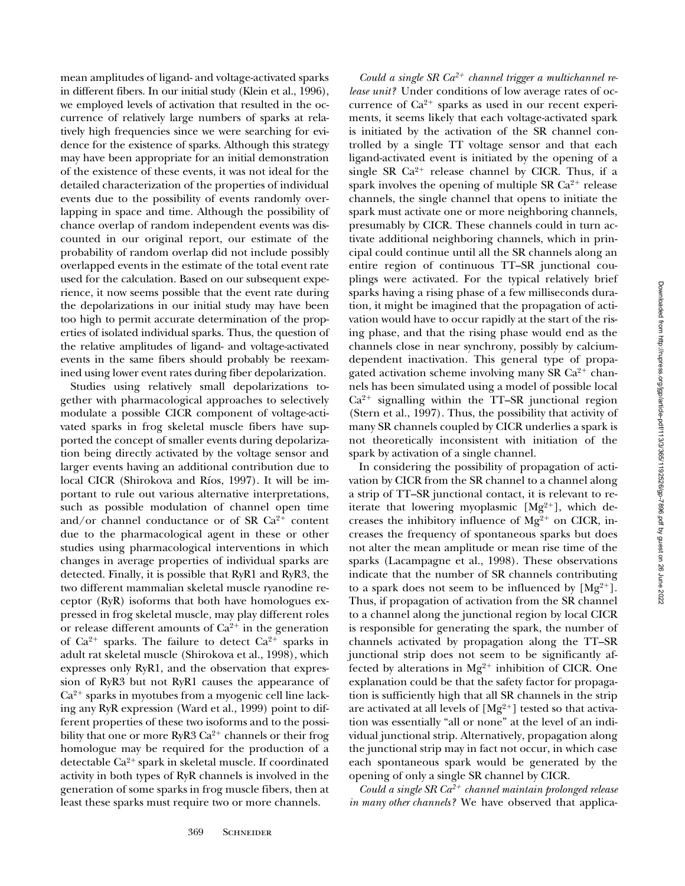mean amplitudes of ligand- and voltage-activated sparks in different fibers. In our initial study (Klein et al., 1996), we employed levels of activation that resulted in the occurrence of relatively large numbers of sparks at relatively high frequencies since we were searching for evidence for the existence of sparks. Although this strategy may have been appropriate for an initial demonstration of the existence of these events, it was not ideal for the detailed characterization of the properties of individual events due to the possibility of events randomly overlapping in space and time. Although the possibility of chance overlap of random independent events was discounted in our original report, our estimate of the probability of random overlap did not include possibly overlapped events in the estimate of the total event rate used for the calculation. Based on our subsequent experience, it now seems possible that the event rate during the depolarizations in our initial study may have been too high to permit accurate determination of the properties of isolated individual sparks. Thus, the question of the relative amplitudes of ligand- and voltage-activated events in the same fibers should probably be reexamined using lower event rates during fiber depolarization.

Studies using relatively small depolarizations together with pharmacological approaches to selectively modulate a possible CICR component of voltage-activated sparks in frog skeletal muscle fibers have supported the concept of smaller events during depolarization being directly activated by the voltage sensor and larger events having an additional contribution due to local CICR (Shirokova and Ríos, 1997). It will be important to rule out various alternative interpretations, such as possible modulation of channel open time and/or channel conductance or of SR  $Ca^{2+}$  content due to the pharmacological agent in these or other studies using pharmacological interventions in which changes in average properties of individual sparks are detected. Finally, it is possible that RyR1 and RyR3, the two different mammalian skeletal muscle ryanodine receptor (RyR) isoforms that both have homologues expressed in frog skeletal muscle, may play different roles or release different amounts of  $Ca^{2+}$  in the generation of  $Ca^{2+}$  sparks. The failure to detect  $Ca^{2+}$  sparks in adult rat skeletal muscle (Shirokova et al., 1998), which expresses only RyR1, and the observation that expression of RyR3 but not RyR1 causes the appearance of  $Ca<sup>2+</sup>$  sparks in myotubes from a myogenic cell line lacking any RyR expression (Ward et al., 1999) point to different properties of these two isoforms and to the possibility that one or more RyR3  $Ca^{2+}$  channels or their frog homologue may be required for the production of a detectable  $Ca^{2+}$  spark in skeletal muscle. If coordinated activity in both types of RyR channels is involved in the generation of some sparks in frog muscle fibers, then at least these sparks must require two or more channels.

Could a single SR Ca<sup>2+</sup> channel trigger a multichannel re*lease unit?* Under conditions of low average rates of occurrence of  $Ca^{2+}$  sparks as used in our recent experiments, it seems likely that each voltage-activated spark is initiated by the activation of the SR channel controlled by a single TT voltage sensor and that each ligand-activated event is initiated by the opening of a single SR  $Ca^{2+}$  release channel by CICR. Thus, if a spark involves the opening of multiple SR  $Ca^{2+}$  release channels, the single channel that opens to initiate the spark must activate one or more neighboring channels, presumably by CICR. These channels could in turn activate additional neighboring channels, which in principal could continue until all the SR channels along an entire region of continuous TT–SR junctional couplings were activated. For the typical relatively brief sparks having a rising phase of a few milliseconds duration, it might be imagined that the propagation of activation would have to occur rapidly at the start of the rising phase, and that the rising phase would end as the channels close in near synchrony, possibly by calciumdependent inactivation. This general type of propagated activation scheme involving many SR  $Ca^{2+}$  channels has been simulated using a model of possible local  $Ca<sup>2+</sup>$  signalling within the TT–SR junctional region (Stern et al., 1997). Thus, the possibility that activity of many SR channels coupled by CICR underlies a spark is not theoretically inconsistent with initiation of the spark by activation of a single channel.

In considering the possibility of propagation of activation by CICR from the SR channel to a channel along a strip of TT–SR junctional contact, it is relevant to reiterate that lowering myoplasmic  $[Mg^{2+}]$ , which decreases the inhibitory influence of  $Mg^{2+}$  on CICR, increases the frequency of spontaneous sparks but does not alter the mean amplitude or mean rise time of the sparks (Lacampagne et al., 1998). These observations indicate that the number of SR channels contributing to a spark does not seem to be influenced by  $[Mg^{2+}]$ . Thus, if propagation of activation from the SR channel to a channel along the junctional region by local CICR is responsible for generating the spark, the number of channels activated by propagation along the TT–SR junctional strip does not seem to be significantly affected by alterations in  $Mg^{2+}$  inhibition of CICR. One explanation could be that the safety factor for propagation is sufficiently high that all SR channels in the strip are activated at all levels of  $[Mg^{2+}]$  tested so that activation was essentially "all or none" at the level of an individual junctional strip. Alternatively, propagation along the junctional strip may in fact not occur, in which case each spontaneous spark would be generated by the opening of only a single SR channel by CICR.

*Could a single SR Ca2*1 *channel maintain prolonged release in many other channels?* We have observed that applica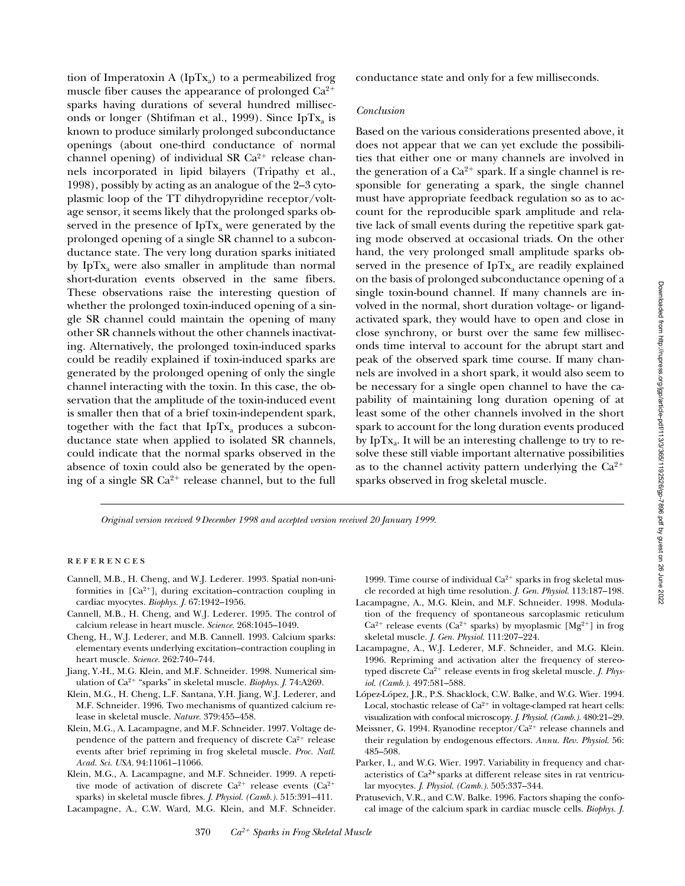tion of Imperatoxin A (IpTx<sub>a</sub>) to a permeabilized frog muscle fiber causes the appearance of prolonged  $Ca^{2+}$ sparks having durations of several hundred milliseconds or longer (Shtifman et al., 1999). Since IpT $x_a$  is known to produce similarly prolonged subconductance openings (about one-third conductance of normal channel opening) of individual SR  $Ca^{2+}$  release channels incorporated in lipid bilayers (Tripathy et al., 1998), possibly by acting as an analogue of the 2–3 cytoplasmic loop of the TT dihydropyridine receptor/voltage sensor, it seems likely that the prolonged sparks observed in the presence of  $IpTx_a$  were generated by the prolonged opening of a single SR channel to a subconductance state. The very long duration sparks initiated by IpT $x_a$  were also smaller in amplitude than normal short-duration events observed in the same fibers. These observations raise the interesting question of whether the prolonged toxin-induced opening of a single SR channel could maintain the opening of many other SR channels without the other channels inactivating. Alternatively, the prolonged toxin-induced sparks could be readily explained if toxin-induced sparks are generated by the prolonged opening of only the single channel interacting with the toxin. In this case, the observation that the amplitude of the toxin-induced event is smaller then that of a brief toxin-independent spark, together with the fact that  $IpTx_a$  produces a subconductance state when applied to isolated SR channels, could indicate that the normal sparks observed in the absence of toxin could also be generated by the opening of a single SR  $Ca^{2+}$  release channel, but to the full

conductance state and only for a few milliseconds.

#### *Conclusion*

Based on the various considerations presented above, it does not appear that we can yet exclude the possibilities that either one or many channels are involved in the generation of a  $Ca^{2+}$  spark. If a single channel is responsible for generating a spark, the single channel must have appropriate feedback regulation so as to account for the reproducible spark amplitude and relative lack of small events during the repetitive spark gating mode observed at occasional triads. On the other hand, the very prolonged small amplitude sparks observed in the presence of  $IpTx_a$  are readily explained on the basis of prolonged subconductance opening of a single toxin-bound channel. If many channels are involved in the normal, short duration voltage- or ligandactivated spark, they would have to open and close in close synchrony, or burst over the same few milliseconds time interval to account for the abrupt start and peak of the observed spark time course. If many channels are involved in a short spark, it would also seem to be necessary for a single open channel to have the capability of maintaining long duration opening of at least some of the other channels involved in the short spark to account for the long duration events produced by IpT $x_a$ . It will be an interesting challenge to try to resolve these still viable important alternative possibilities as to the channel activity pattern underlying the  $Ca^{2+}$ sparks observed in frog skeletal muscle.

*Original version received 9 December 1998 and accepted version received 20 January 1999.*

## references

- Cannell, M.B., H. Cheng, and W.J. Lederer. 1993. Spatial non-uniformities in  $[Ca^{2+}]$ <sub>i</sub> during excitation-contraction coupling in cardiac myocytes. *Biophys. J.* 67:1942–1956.
- Cannell, M.B., H. Cheng, and W.J. Lederer. 1995. The control of calcium release in heart muscle. *Science.* 268:1045–1049.
- Cheng, H., W.J. Lederer, and M.B. Cannell. 1993. Calcium sparks: elementary events underlying excitation–contraction coupling in heart muscle. *Science.* 262:740–744.
- Jiang, Y.-H., M.G. Klein, and M.F. Schneider. 1998. Numerical simulation of Ca<sup>2+</sup> "sparks" in skeletal muscle. *Biophys. J.* 74:A269.
- Klein, M.G., H. Cheng, L.F. Santana, Y.H. Jiang, W.J. Lederer, and M.F. Schneider. 1996. Two mechanisms of quantized calcium release in skeletal muscle. *Nature.* 379:455–458.
- Klein, M.G., A. Lacampagne, and M.F. Schneider. 1997. Voltage dependence of the pattern and frequency of discrete  $Ca^{2+}$  release events after brief repriming in frog skeletal muscle. *Proc. Natl. Acad. Sci. USA.* 94:11061–11066.
- Klein, M.G., A. Lacampagne, and M.F. Schneider. 1999. A repetitive mode of activation of discrete  $Ca^{2+}$  release events  $(Ca^{2+}$ sparks) in skeletal muscle fibres. *J. Physiol. (Camb.).* 515:391–411. Lacampagne, A., C.W. Ward, M.G. Klein, and M.F. Schneider.

1999. Time course of individual  $Ca^{2+}$  sparks in frog skeletal muscle recorded at high time resolution. *J. Gen. Physiol.* 113:187–198.

- Lacampagne, A., M.G. Klein, and M.F. Schneider. 1998. Modulation of the frequency of spontaneous sarcoplasmic reticulum  $Ca^{2+}$  release events ( $Ca^{2+}$  sparks) by myoplasmic [Mg<sup>2+</sup>] in frog skeletal muscle. *J. Gen. Physiol.* 111:207–224.
- Lacampagne, A., W.J. Lederer, M.F. Schneider, and M.G. Klein. 1996. Repriming and activation alter the frequency of stereotyped discrete Ca<sup>2+</sup> release events in frog skeletal muscle. *J. Physiol. (Camb.).* 497:581–588.
- López-López, J.R., P.S. Shacklock, C.W. Balke, and W.G. Wier. 1994. Local, stochastic release of  $Ca^{2+}$  in voltage-clamped rat heart cells: visualization with confocal microscopy. *J. Physiol. (Camb.).* 480:21–29.
- Meissner, G. 1994. Ryanodine receptor/ $Ca^{2+}$  release channels and their regulation by endogenous effectors. *Annu. Rev. Physiol.* 56: 485–508.
- Parker, I., and W.G. Wier. 1997. Variability in frequency and characteristics of Ca2+ sparks at different release sites in rat ventricular myocytes. *J. Physiol. (Camb.).* 505:337–344.
- Pratusevich, V.R., and C.W. Balke. 1996. Factors shaping the confocal image of the calcium spark in cardiac muscle cells. *Biophys. J.*